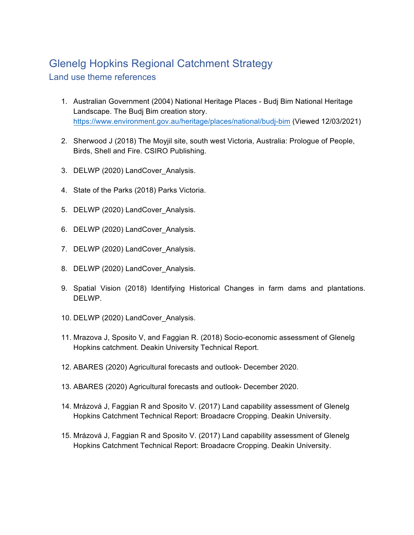## Glenelg Hopkins Regional Catchment Strategy

Land use theme references

- 1. Australian Government (2004) National Heritage Places Budj Bim National Heritage Landscape. The Budj Bim creation story. https://www.environment.gov.au/heritage/places/national/budj-bim (Viewed 12/03/2021)
- 2. Sherwood J (2018) The Moyjil site, south west Victoria, Australia: Prologue of People, Birds, Shell and Fire. CSIRO Publishing.
- 3. DELWP (2020) LandCover\_Analysis.
- 4. State of the Parks (2018) Parks Victoria.
- 5. DELWP (2020) LandCover Analysis.
- 6. DELWP (2020) LandCover Analysis.
- 7. DELWP (2020) LandCover Analysis.
- 8. DELWP (2020) LandCover Analysis.
- 9. Spatial Vision (2018) Identifying Historical Changes in farm dams and plantations. DELWP.
- 10. DELWP (2020) LandCover\_Analysis.
- 11. Mrazova J, Sposito V, and Faggian R. (2018) Socio-economic assessment of Glenelg Hopkins catchment. Deakin University Technical Report.
- 12. ABARES (2020) Agricultural forecasts and outlook- December 2020.
- 13. ABARES (2020) Agricultural forecasts and outlook- December 2020.
- 14. Mrázová J, Faggian R and Sposito V. (2017) Land capability assessment of Glenelg Hopkins Catchment Technical Report: Broadacre Cropping. Deakin University.
- 15. Mrázová J, Faggian R and Sposito V. (2017) Land capability assessment of Glenelg Hopkins Catchment Technical Report: Broadacre Cropping. Deakin University.